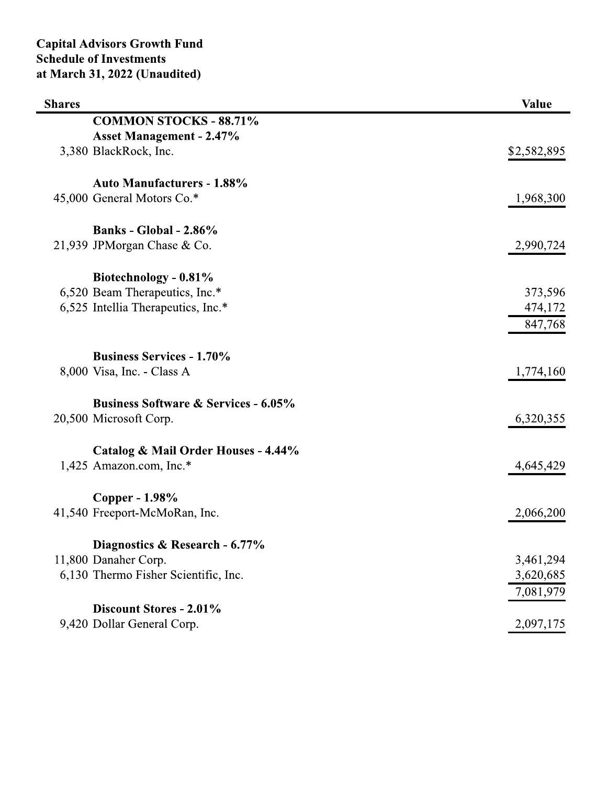|               | <b>Capital Advisors Growth Fund</b><br><b>Schedule of Investments</b><br>at March 31, 2022 (Unaudited) |              |
|---------------|--------------------------------------------------------------------------------------------------------|--------------|
| <b>Shares</b> |                                                                                                        | <b>Value</b> |
|               | <b>COMMON STOCKS - 88.71%</b>                                                                          |              |
|               | <b>Asset Management - 2.47%</b>                                                                        |              |
|               | 3,380 BlackRock, Inc.                                                                                  | \$2,582,895  |
|               | <b>Auto Manufacturers - 1.88%</b>                                                                      |              |
|               | 45,000 General Motors Co.*                                                                             | 1,968,300    |
|               | Banks - Global - $2.86\%$                                                                              |              |
|               | 21,939 JPMorgan Chase & Co.                                                                            | 2,990,724    |
|               | Biotechnology - 0.81%                                                                                  |              |
|               | 6,520 Beam Therapeutics, Inc.*                                                                         | 373,596      |
|               | 6,525 Intellia Therapeutics, Inc.*                                                                     | 474,172      |
|               |                                                                                                        | 847,768      |
|               | <b>Business Services - 1.70%</b>                                                                       |              |
|               | 8,000 Visa, Inc. - Class A                                                                             | 1,774,160    |
|               | <b>Business Software &amp; Services - 6.05%</b>                                                        |              |
|               | 20,500 Microsoft Corp.                                                                                 | 6,320,355    |
|               | Catalog & Mail Order Houses - 4.44%                                                                    |              |
|               | 1,425 Amazon.com, Inc.*                                                                                | 4,645,429    |
|               | Copper - 1.98%                                                                                         |              |
|               | 41,540 Freeport-McMoRan, Inc.                                                                          | 2,066,200    |
|               | Diagnostics & Research - 6.77%                                                                         |              |
|               | 11,800 Danaher Corp.                                                                                   | 3,461,294    |
|               | 6,130 Thermo Fisher Scientific, Inc.                                                                   | 3,620,685    |
|               |                                                                                                        | 7,081,979    |
|               | Discount Stores - 2.01%                                                                                |              |
|               | 9,420 Dollar General Corp.                                                                             | 2,097,175    |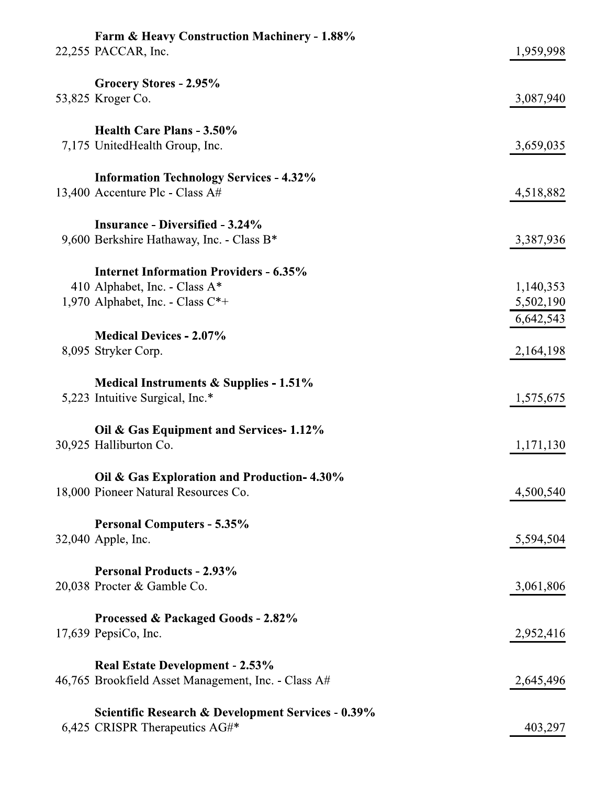| <b>Farm &amp; Heavy Construction Machinery - 1.88%</b><br>22,255 PACCAR, Inc.                   | 1,959,998 |
|-------------------------------------------------------------------------------------------------|-----------|
|                                                                                                 |           |
| Grocery Stores - 2.95%                                                                          |           |
| 53,825 Kroger Co.                                                                               | 3,087,940 |
| Health Care Plans - 3.50%                                                                       |           |
| 7,175 UnitedHealth Group, Inc.                                                                  | 3,659,035 |
|                                                                                                 |           |
| <b>Information Technology Services - 4.32%</b><br>13,400 Accenture Plc - Class A#               | 4,518,882 |
|                                                                                                 |           |
| <b>Insurance - Diversified - 3.24%</b>                                                          |           |
| 9,600 Berkshire Hathaway, Inc. - Class B*                                                       | 3,387,936 |
| <b>Internet Information Providers - 6.35%</b>                                                   |           |
| 410 Alphabet, Inc. - Class A*                                                                   | 1,140,353 |
| 1,970 Alphabet, Inc. - Class $C^*$ +                                                            | 5,502,190 |
|                                                                                                 | 6,642,543 |
| <b>Medical Devices - 2.07%</b>                                                                  |           |
| 8,095 Stryker Corp.                                                                             | 2,164,198 |
| <b>Medical Instruments &amp; Supplies - 1.51%</b>                                               |           |
| 5,223 Intuitive Surgical, Inc.*                                                                 | 1,575,675 |
| Oil & Gas Equipment and Services-1.12%                                                          |           |
| 30,925 Halliburton Co.                                                                          | 1,171,130 |
|                                                                                                 |           |
| Oil & Gas Exploration and Production-4.30%<br>18,000 Pioneer Natural Resources Co.              | 4,500,540 |
|                                                                                                 |           |
| <b>Personal Computers - 5.35%</b>                                                               |           |
| 32,040 Apple, Inc.                                                                              | 5,594,504 |
| <b>Personal Products - 2.93%</b>                                                                |           |
| 20,038 Procter & Gamble Co.                                                                     | 3,061,806 |
|                                                                                                 |           |
| Processed & Packaged Goods - 2.82%                                                              |           |
| $17,639$ PepsiCo, Inc.                                                                          | 2,952,416 |
| <b>Real Estate Development - 2.53%</b>                                                          |           |
| 46,765 Brookfield Asset Management, Inc. - Class A#                                             | 2,645,496 |
|                                                                                                 |           |
| <b>Scientific Research &amp; Development Services - 0.39%</b><br>6,425 CRISPR Therapeutics AG#* | 403,297   |
|                                                                                                 |           |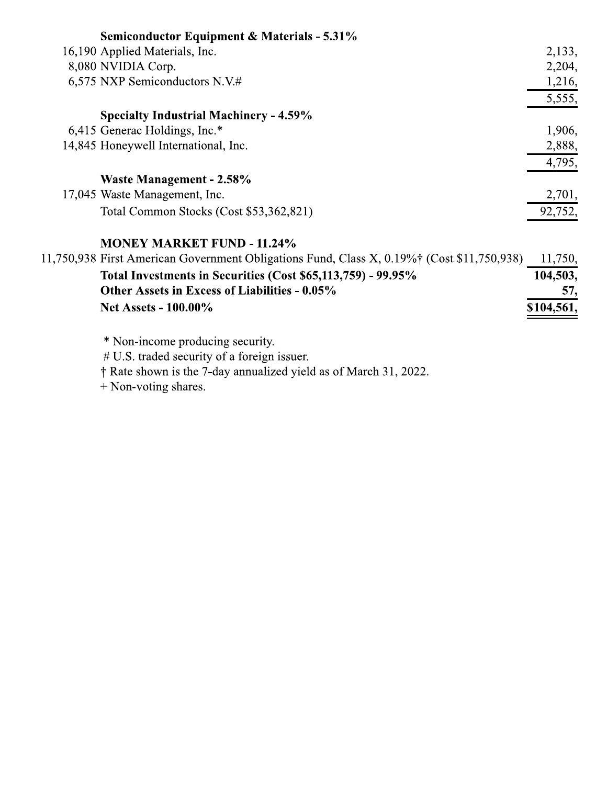| <b>Semiconductor Equipment &amp; Materials - 5.31%</b>                                                 |           |
|--------------------------------------------------------------------------------------------------------|-----------|
| 16,190 Applied Materials, Inc.                                                                         | 2,133,    |
| 8,080 NVIDIA Corp.                                                                                     | 2,204,    |
| 6,575 NXP Semiconductors N.V.#                                                                         | 1,216,    |
|                                                                                                        | 5,555,    |
| <b>Specialty Industrial Machinery - 4.59%</b>                                                          |           |
| 6,415 Generac Holdings, Inc.*                                                                          | 1,906,    |
| 14,845 Honeywell International, Inc.                                                                   | 2,888,    |
|                                                                                                        | 4,795,    |
| Waste Management - 2.58%                                                                               |           |
| 17,045 Waste Management, Inc.                                                                          | 2,701,    |
| Total Common Stocks (Cost \$53,362,821)                                                                | 92,752,   |
| <b>MONEY MARKET FUND - 11.24%</b>                                                                      |           |
| 11,750,938 First American Government Obligations Fund, Class X, 0.19% <sup>†</sup> (Cost \$11,750,938) | 11,750,   |
| Total Investments in Securities (Cost \$65,113,759) - 99.95%                                           | 104,503,  |
| Other Assets in Excess of Liabilities - 0.05%                                                          | 57,       |
| <b>Net Assets - 100.00%</b>                                                                            | \$104,561 |
|                                                                                                        |           |

\* Non-income producing security.<br># U.S. traded security of a foreign issuer.<br>† Rate shown is the 7-day annualized yield as of March 31, 2022.

 $+$  Non-voting shares.